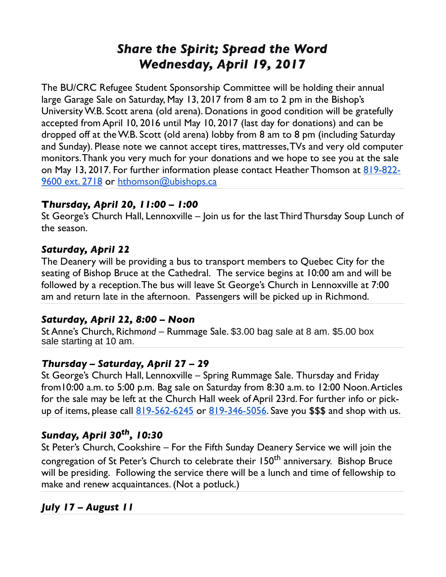# *Share the Spirit; Spread the Word Wednesday, April 19, 2017*

The BU/CRC Refugee Student Sponsorship Committee will be holding their annual large Garage Sale on Saturday, May 13, 2017 from 8 am to 2 pm in the Bishop's University W.B. Scott arena (old arena). Donations in good condition will be gratefully accepted from April 10, 2016 until May 10, 2017 (last day for donations) and can be dropped off at the W.B. Scott (old arena) lobby from 8 am to 8 pm (including Saturday and Sunday). Please note we cannot accept tires, mattresses, TVs and very old computer monitors. Thank you very much for your donations and we hope to see you at the sale on May 13, 2017. For further information please contact Heather Thomson at [819-822-](tel:(819)%20822-9600) [9600 ext. 2718](tel:(819)%20822-9600) or [hthomson@ubishops.ca](mailto:hthomson@ubishops.ca)

### **T***hursday, April 20, 11:00 – 1:00*

St George's Church Hall, Lennoxville – Join us for the last Third Thursday Soup Lunch of the season.

#### *Saturday, April 22*

The Deanery will be providing a bus to transport members to Quebec City for the seating of Bishop Bruce at the Cathedral. The service begins at 10:00 am and will be followed by a reception. The bus will leave St George's Church in Lennoxville at 7:00 am and return late in the afternoon. Passengers will be picked up in Richmond.

#### *Saturday, April 22, 8:00 – Noon*

St Anne's Church, Richm*ond –* Rummage Sale. \$3.00 bag sale at 8 am. \$5.00 box sale starting at 10 am.

#### *Thursday – Saturday, April 27 – 29*

St George's Church Hall, Lennoxville – Spring Rummage Sale. Thursday and Friday from10:00 a.m. to 5:00 p.m. Bag sale on Saturday from 8:30 a.m. to 12:00 Noon. Articles for the sale may be left at the Church Hall week of April 23rd. For further info or pick-up of items, please call <u>[819-562-6245](tel:(819)%20562-6245)</u> or <u>819-346-5056</u>. Save you \$\$\$ and shop with us.

## *Sunday, April 30th, 10:30*

St Peter's Church, Cookshire – For the Fifth Sunday Deanery Service we will join the congregation of St Peter's Church to celebrate their 150<sup>th</sup> anniversary. Bishop Bruce will be presiding. Following the service there will be a lunch and time of fellowship to make and renew acquaintances. (Not a potluck.)

## *July 17 – August 11*